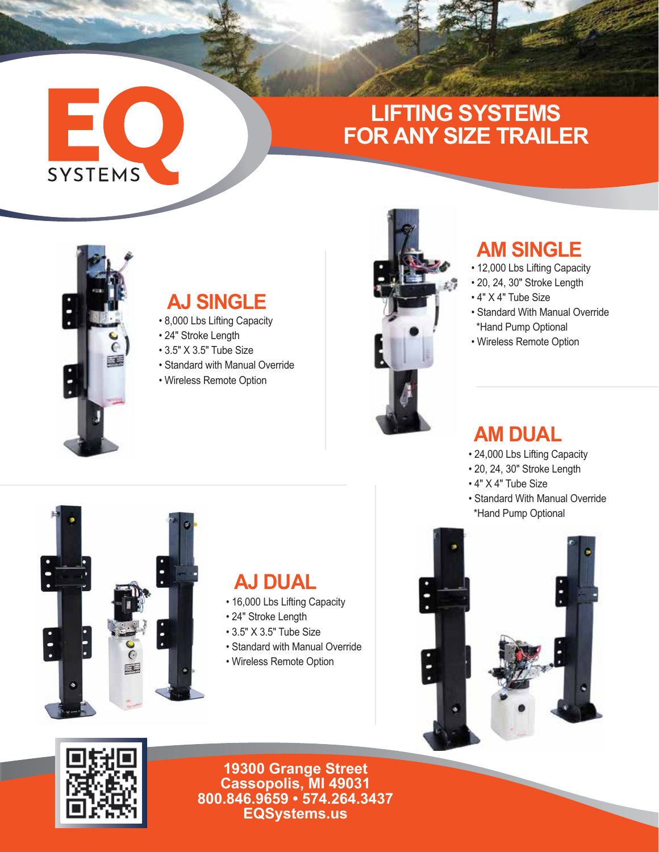# **LIFTING SYSTEMS FOR ANY SIZE TRAILER**



EC

SYSTEMS

### **AJ SINGLE**

- 8,000 Lbs Lifting Capacity
- 24" Stroke Length
- 3.5" X 3.5" Tube Size
- Standard with Manual Override
- Wireless Remote Option



### **AM SINGLE**

- 12,000 Lbs Lifting Capacity
- 20, 24, 30" Stroke Length
- 4" X 4" Tube Size
- Standard With Manual Override \*Hand Pump Optional
- Wireless Remote Option

### **AM DUAL**

- 24,000 Lbs Lifting Capacity
- 20, 24, 30" Stroke Length
- 4" X 4" Tube Size
- Standard With Manual Override \*Hand Pump Optional



#### **AJ DUAL**

- 16,000 Lbs Lifting Capacity
- 24" Stroke Length
- 3.5" X 3.5" Tube Size
- Standard with Manual Override
- Wireless Remote Option





**19300 Grange Street Cassopolis, MI 49031 800.846.9659 • 574.264.3437 EQSystems.us**